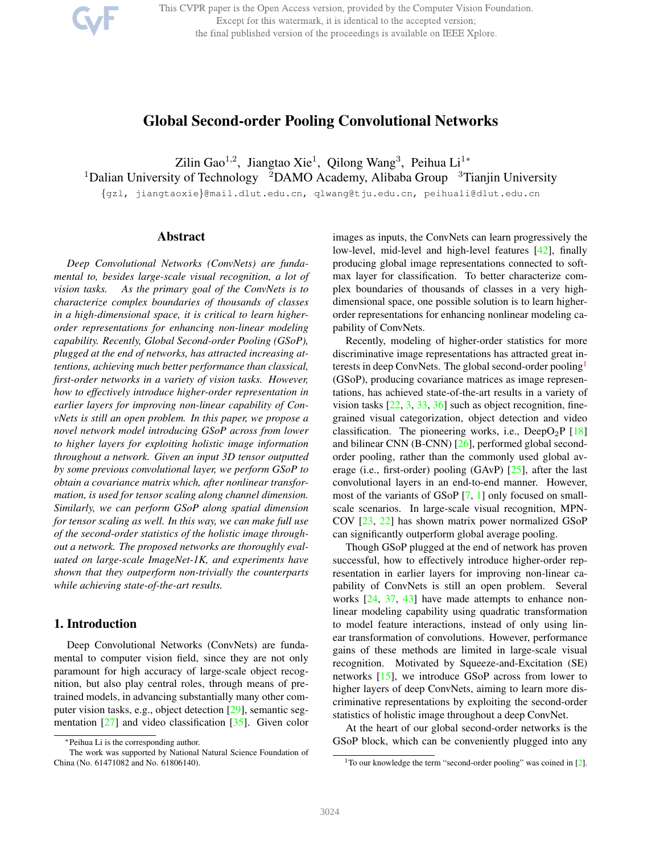This CVPR paper is the Open Access version, provided by the Computer Vision Foundation. Except for this watermark, it is identical to the accepted version; the final published version of the proceedings is available on IEEE Xplore.

# Global Second-order Pooling Convolutional Networks

Zilin Gao<sup>1,2</sup>, Jiangtao Xie<sup>1</sup>, Qilong Wang<sup>3</sup>, Peihua Li<sup>1</sup>\*

<sup>1</sup>Dalian University of Technology <sup>2</sup>DAMO Academy, Alibaba Group <sup>3</sup>Tianjin University

{gzl, jiangtaoxie}@mail.dlut.edu.cn, qlwang@tju.edu.cn, peihuali@dlut.edu.cn

## Abstract

*Deep Convolutional Networks (ConvNets) are fundamental to, besides large-scale visual recognition, a lot of vision tasks. As the primary goal of the ConvNets is to characterize complex boundaries of thousands of classes in a high-dimensional space, it is critical to learn higherorder representations for enhancing non-linear modeling capability. Recently, Global Second-order Pooling (GSoP), plugged at the end of networks, has attracted increasing attentions, achieving much better performance than classical, first-order networks in a variety of vision tasks. However, how to effectively introduce higher-order representation in earlier layers for improving non-linear capability of ConvNets is still an open problem. In this paper, we propose a novel network model introducing GSoP across from lower to higher layers for exploiting holistic image information throughout a network. Given an input 3D tensor outputted by some previous convolutional layer, we perform GSoP to obtain a covariance matrix which, after nonlinear transformation, is used for tensor scaling along channel dimension. Similarly, we can perform GSoP along spatial dimension for tensor scaling as well. In this way, we can make full use of the second-order statistics of the holistic image throughout a network. The proposed networks are thoroughly evaluated on large-scale ImageNet-1K, and experiments have shown that they outperform non-trivially the counterparts while achieving state-of-the-art results.*

## 1. Introduction

Deep Convolutional Networks (ConvNets) are fundamental to computer vision field, since they are not only paramount for high accuracy of large-scale object recognition, but also play central roles, through means of pretrained models, in advancing substantially many other computer vision tasks, e.g., object detection [29], semantic segmentation [27] and video classification [35]. Given color images as inputs, the ConvNets can learn progressively the low-level, mid-level and high-level features [42], finally producing global image representations connected to softmax layer for classification. To better characterize complex boundaries of thousands of classes in a very highdimensional space, one possible solution is to learn higherorder representations for enhancing nonlinear modeling capability of ConvNets.

Recently, modeling of higher-order statistics for more discriminative image representations has attracted great interests in deep ConvNets. The global second-order pooling<sup>1</sup> (GSoP), producing covariance matrices as image representations, has achieved state-of-the-art results in a variety of vision tasks  $[22, 3, 33, 36]$  such as object recognition, finegrained visual categorization, object detection and video classification. The pioneering works, i.e., DeepO<sub>2</sub>P [18] and bilinear CNN (B-CNN) [26], performed global secondorder pooling, rather than the commonly used global average (i.e., first-order) pooling (GAvP) [25], after the last convolutional layers in an end-to-end manner. However, most of the variants of GSoP [7, 1] only focused on smallscale scenarios. In large-scale visual recognition, MPN-COV [23, 22] has shown matrix power normalized GSoP can significantly outperform global average pooling.

Though GSoP plugged at the end of network has proven successful, how to effectively introduce higher-order representation in earlier layers for improving non-linear capability of ConvNets is still an open problem. Several works [24, 37, 43] have made attempts to enhance nonlinear modeling capability using quadratic transformation to model feature interactions, instead of only using linear transformation of convolutions. However, performance gains of these methods are limited in large-scale visual recognition. Motivated by Squeeze-and-Excitation (SE) networks [15], we introduce GSoP across from lower to higher layers of deep ConvNets, aiming to learn more discriminative representations by exploiting the second-order statistics of holistic image throughout a deep ConvNet.

At the heart of our global second-order networks is the GSoP block, which can be conveniently plugged into any

<sup>∗</sup>Peihua Li is the corresponding author.

The work was supported by National Natural Science Foundation of China (No. 61471082 and No. 61806140).

 $1$ To our knowledge the term "second-order pooling" was coined in [2].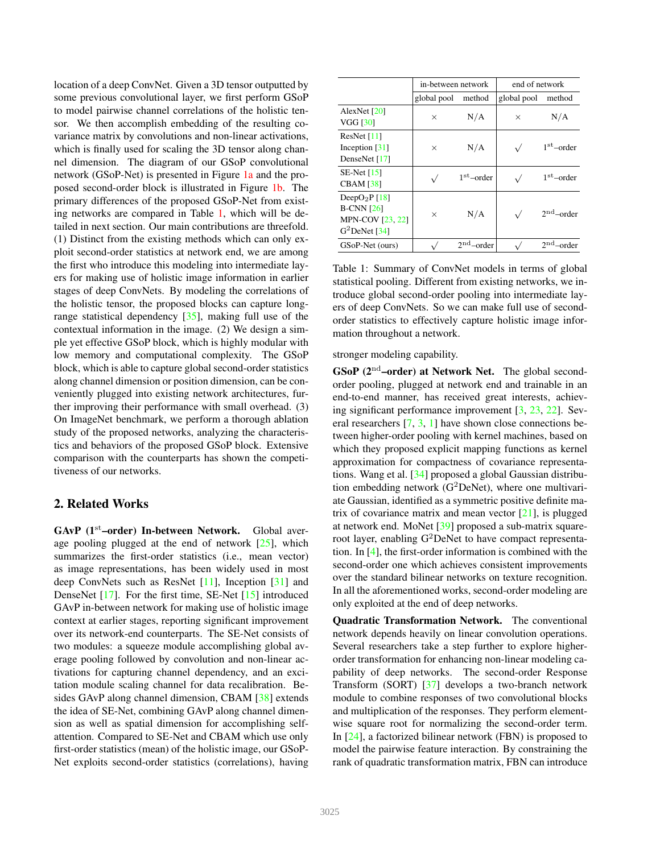location of a deep ConvNet. Given a 3D tensor outputted by some previous convolutional layer, we first perform GSoP to model pairwise channel correlations of the holistic tensor. We then accomplish embedding of the resulting covariance matrix by convolutions and non-linear activations, which is finally used for scaling the 3D tensor along channel dimension. The diagram of our GSoP convolutional network (GSoP-Net) is presented in Figure 1a and the proposed second-order block is illustrated in Figure 1b. The primary differences of the proposed GSoP-Net from existing networks are compared in Table 1, which will be detailed in next section. Our main contributions are threefold. (1) Distinct from the existing methods which can only exploit second-order statistics at network end, we are among the first who introduce this modeling into intermediate layers for making use of holistic image information in earlier stages of deep ConvNets. By modeling the correlations of the holistic tensor, the proposed blocks can capture longrange statistical dependency [35], making full use of the contextual information in the image. (2) We design a simple yet effective GSoP block, which is highly modular with low memory and computational complexity. The GSoP block, which is able to capture global second-order statistics along channel dimension or position dimension, can be conveniently plugged into existing network architectures, further improving their performance with small overhead. (3) On ImageNet benchmark, we perform a thorough ablation study of the proposed networks, analyzing the characteristics and behaviors of the proposed GSoP block. Extensive comparison with the counterparts has shown the competitiveness of our networks.

## 2. Related Works

 $GAvP$  (1<sup>st</sup>–order) In-between Network. Global average pooling plugged at the end of network [25], which summarizes the first-order statistics (i.e., mean vector) as image representations, has been widely used in most deep ConvNets such as ResNet [11], Inception [31] and DenseNet [17]. For the first time, SE-Net [15] introduced GAvP in-between network for making use of holistic image context at earlier stages, reporting significant improvement over its network-end counterparts. The SE-Net consists of two modules: a squeeze module accomplishing global average pooling followed by convolution and non-linear activations for capturing channel dependency, and an excitation module scaling channel for data recalibration. Besides GAvP along channel dimension, CBAM [38] extends the idea of SE-Net, combining GAvP along channel dimension as well as spatial dimension for accomplishing selfattention. Compared to SE-Net and CBAM which use only first-order statistics (mean) of the holistic image, our GSoP-Net exploits second-order statistics (correlations), having

|                                                                                            | in-between network |               | end of network |              |  |
|--------------------------------------------------------------------------------------------|--------------------|---------------|----------------|--------------|--|
|                                                                                            | global pool        | method        | global pool    | method       |  |
| AlexNet $[20]$<br><b>VGG [30]</b>                                                          | $\times$           | N/A           | $\times$       | N/A          |  |
| ResNet $[11]$<br>Inception $[31]$<br>DenseNet [17]                                         | $\times$           | N/A           |                | $1st$ -order |  |
| $SE-Net[15]$<br><b>CBAM</b> [38]                                                           |                    | $1st$ –order  |                | $1st$ -order |  |
| DeepO <sub>2</sub> P $[18]$<br>$B-CNN$ [26]<br><b>MPN-COV [23, 22]</b><br>$G^2$ DeNet [34] | $\times$           | N/A           |                | $2nd$ -order |  |
| GSoP-Net (ours)                                                                            |                    | 2nd<br>-order |                | 2nd<br>order |  |

Table 1: Summary of ConvNet models in terms of global statistical pooling. Different from existing networks, we introduce global second-order pooling into intermediate layers of deep ConvNets. So we can make full use of secondorder statistics to effectively capture holistic image information throughout a network.

stronger modeling capability.

 $\mathbf{GSoP}$  ( $2^{\text{nd}}$ -order) at Network Net. The global secondorder pooling, plugged at network end and trainable in an end-to-end manner, has received great interests, achieving significant performance improvement [3, 23, 22]. Several researchers [7, 3, 1] have shown close connections between higher-order pooling with kernel machines, based on which they proposed explicit mapping functions as kernel approximation for compactness of covariance representations. Wang et al. [34] proposed a global Gaussian distribution embedding network  $(G^2DeNet)$ , where one multivariate Gaussian, identified as a symmetric positive definite matrix of covariance matrix and mean vector  $[21]$ , is plugged at network end. MoNet [39] proposed a sub-matrix squareroot layer, enabling  $G^2$ DeNet to have compact representation. In [4], the first-order information is combined with the second-order one which achieves consistent improvements over the standard bilinear networks on texture recognition. In all the aforementioned works, second-order modeling are only exploited at the end of deep networks.

Quadratic Transformation Network. The conventional network depends heavily on linear convolution operations. Several researchers take a step further to explore higherorder transformation for enhancing non-linear modeling capability of deep networks. The second-order Response Transform (SORT) [37] develops a two-branch network module to combine responses of two convolutional blocks and multiplication of the responses. They perform elementwise square root for normalizing the second-order term. In [24], a factorized bilinear network (FBN) is proposed to model the pairwise feature interaction. By constraining the rank of quadratic transformation matrix, FBN can introduce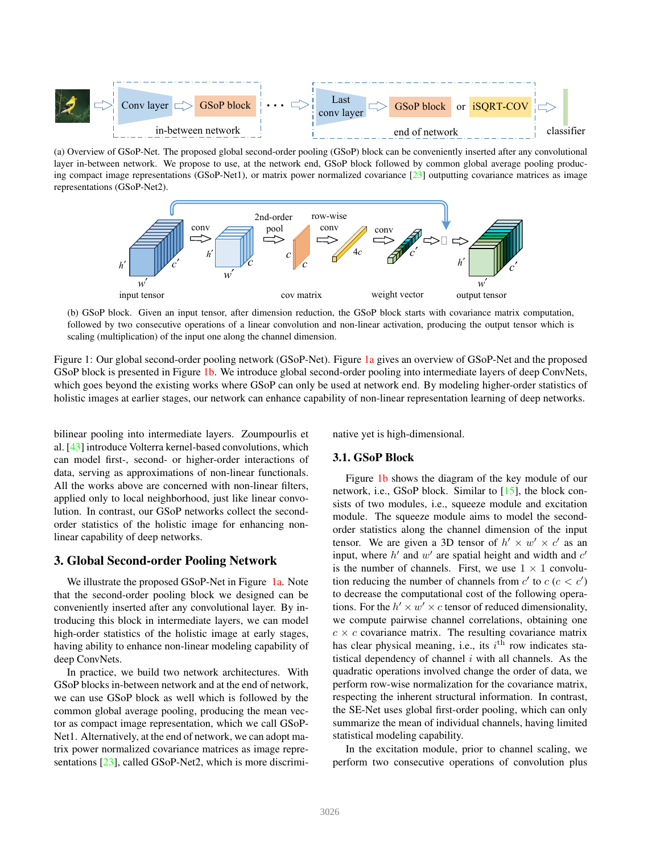

(a) Overview of GSoP-Net. The proposed global second-order pooling (GSoP) block can be conveniently inserted after any convolutional layer in-between network. We propose to use, at the network end, GSoP block followed by common global average pooling producing compact image representations (GSoP-Net1), or matrix power normalized covariance  $[23]$  outputting covariance matrices as image representations (GSoP-Net2).



(b) GSoP block. Given an input tensor, after dimension reduction, the GSoP block starts with covariance matrix computation, followed by two consecutive operations of a linear convolution and non-linear activation, producing the output tensor which is scaling (multiplication) of the input one along the channel dimension.

Figure 1: Our global second-order pooling network (GSoP-Net). Figure 1a gives an overview of GSoP-Net and the proposed GSoP block is presented in Figure 1b. We introduce global second-order pooling into intermediate layers of deep ConvNets, which goes beyond the existing works where GSoP can only be used at network end. By modeling higher-order statistics of holistic images at earlier stages, our network can enhance capability of non-linear representation learning of deep networks.

bilinear pooling into intermediate layers. Zoumpourlis et al. [43] introduce Volterra kernel-based convolutions, which can model first-, second- or higher-order interactions of data, serving as approximations of non-linear functionals. All the works above are concerned with non-linear filters, applied only to local neighborhood, just like linear convolution. In contrast, our GSoP networks collect the secondorder statistics of the holistic image for enhancing nonlinear capability of deep networks.

### 3. Global Second-order Pooling Network

We illustrate the proposed GSoP-Net in Figure 1a. Note that the second-order pooling block we designed can be conveniently inserted after any convolutional layer. By introducing this block in intermediate layers, we can model high-order statistics of the holistic image at early stages, having ability to enhance non-linear modeling capability of deep ConvNets.

In practice, we build two network architectures. With GSoP blocks in-between network and at the end of network, we can use GSoP block as well which is followed by the common global average pooling, producing the mean vector as compact image representation, which we call GSoP-Net1. Alternatively, at the end of network, we can adopt matrix power normalized covariance matrices as image representations [23], called GSoP-Net2, which is more discriminative yet is high-dimensional.

### 3.1. GSoP Block

Figure 1b shows the diagram of the key module of our network, i.e., GSoP block. Similar to [15], the block consists of two modules, i.e., squeeze module and excitation module. The squeeze module aims to model the secondorder statistics along the channel dimension of the input tensor. We are given a 3D tensor of  $h' \times w' \times c'$  as an input, where  $h'$  and  $w'$  are spatial height and width and  $c'$ is the number of channels. First, we use  $1 \times 1$  convolution reducing the number of channels from  $c'$  to  $c$  ( $c < c'$ ) to decrease the computational cost of the following operations. For the  $h' \times w' \times c$  tensor of reduced dimensionality, we compute pairwise channel correlations, obtaining one  $c \times c$  covariance matrix. The resulting covariance matrix has clear physical meaning, i.e., its  $i<sup>th</sup>$  row indicates statistical dependency of channel  $i$  with all channels. As the quadratic operations involved change the order of data, we perform row-wise normalization for the covariance matrix, respecting the inherent structural information. In contrast, the SE-Net uses global first-order pooling, which can only summarize the mean of individual channels, having limited statistical modeling capability.

In the excitation module, prior to channel scaling, we perform two consecutive operations of convolution plus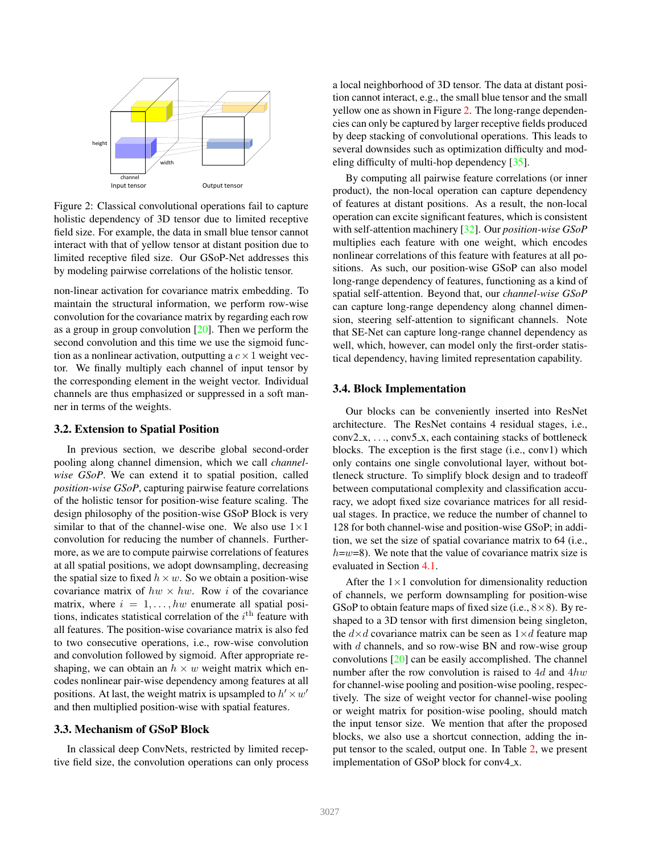

Figure 2: Classical convolutional operations fail to capture holistic dependency of 3D tensor due to limited receptive field size. For example, the data in small blue tensor cannot interact with that of yellow tensor at distant position due to limited receptive filed size. Our GSoP-Net addresses this by modeling pairwise correlations of the holistic tensor.

non-linear activation for covariance matrix embedding. To maintain the structural information, we perform row-wise convolution for the covariance matrix by regarding each row as a group in group convolution  $[20]$ . Then we perform the second convolution and this time we use the sigmoid function as a nonlinear activation, outputting a  $c \times 1$  weight vector. We finally multiply each channel of input tensor by the corresponding element in the weight vector. Individual channels are thus emphasized or suppressed in a soft manner in terms of the weights.

### 3.2. Extension to Spatial Position

In previous section, we describe global second-order pooling along channel dimension, which we call *channelwise GSoP*. We can extend it to spatial position, called *position-wise GSoP*, capturing pairwise feature correlations of the holistic tensor for position-wise feature scaling. The design philosophy of the position-wise GSoP Block is very similar to that of the channel-wise one. We also use  $1 \times 1$ convolution for reducing the number of channels. Furthermore, as we are to compute pairwise correlations of features at all spatial positions, we adopt downsampling, decreasing the spatial size to fixed  $h \times w$ . So we obtain a position-wise covariance matrix of  $hw \times hw$ . Row i of the covariance matrix, where  $i = 1, \ldots, hw$  enumerate all spatial positions, indicates statistical correlation of the  $i^{\text{th}}$  feature with all features. The position-wise covariance matrix is also fed to two consecutive operations, i.e., row-wise convolution and convolution followed by sigmoid. After appropriate reshaping, we can obtain an  $h \times w$  weight matrix which encodes nonlinear pair-wise dependency among features at all positions. At last, the weight matrix is upsampled to  $h' \times w'$ and then multiplied position-wise with spatial features.

#### 3.3. Mechanism of GSoP Block

In classical deep ConvNets, restricted by limited receptive field size, the convolution operations can only process a local neighborhood of 3D tensor. The data at distant position cannot interact, e.g., the small blue tensor and the small yellow one as shown in Figure 2. The long-range dependencies can only be captured by larger receptive fields produced by deep stacking of convolutional operations. This leads to several downsides such as optimization difficulty and modeling difficulty of multi-hop dependency [35].

By computing all pairwise feature correlations (or inner product), the non-local operation can capture dependency of features at distant positions. As a result, the non-local operation can excite significant features, which is consistent with self-attention machinery [32]. Our *position-wise GSoP* multiplies each feature with one weight, which encodes nonlinear correlations of this feature with features at all positions. As such, our position-wise GSoP can also model long-range dependency of features, functioning as a kind of spatial self-attention. Beyond that, our *channel-wise GSoP* can capture long-range dependency along channel dimension, steering self-attention to significant channels. Note that SE-Net can capture long-range channel dependency as well, which, however, can model only the first-order statistical dependency, having limited representation capability.

### 3.4. Block Implementation

Our blocks can be conveniently inserted into ResNet architecture. The ResNet contains 4 residual stages, i.e.,  $conv2_x, \ldots, conv5_x, each containing stacks of bottleneck$ blocks. The exception is the first stage (i.e., conv1) which only contains one single convolutional layer, without bottleneck structure. To simplify block design and to tradeoff between computational complexity and classification accuracy, we adopt fixed size covariance matrices for all residual stages. In practice, we reduce the number of channel to 128 for both channel-wise and position-wise GSoP; in addition, we set the size of spatial covariance matrix to 64 (i.e.,  $h=w=8$ ). We note that the value of covariance matrix size is evaluated in Section 4.1.

After the  $1\times1$  convolution for dimensionality reduction of channels, we perform downsampling for position-wise GSoP to obtain feature maps of fixed size (i.e.,  $8 \times 8$ ). By reshaped to a 3D tensor with first dimension being singleton, the  $d \times d$  covariance matrix can be seen as  $1 \times d$  feature map with d channels, and so row-wise BN and row-wise group convolutions [20] can be easily accomplished. The channel number after the row convolution is raised to  $4d$  and  $4hw$ for channel-wise pooling and position-wise pooling, respectively. The size of weight vector for channel-wise pooling or weight matrix for position-wise pooling, should match the input tensor size. We mention that after the proposed blocks, we also use a shortcut connection, adding the input tensor to the scaled, output one. In Table 2, we present implementation of GSoP block for conv4 x.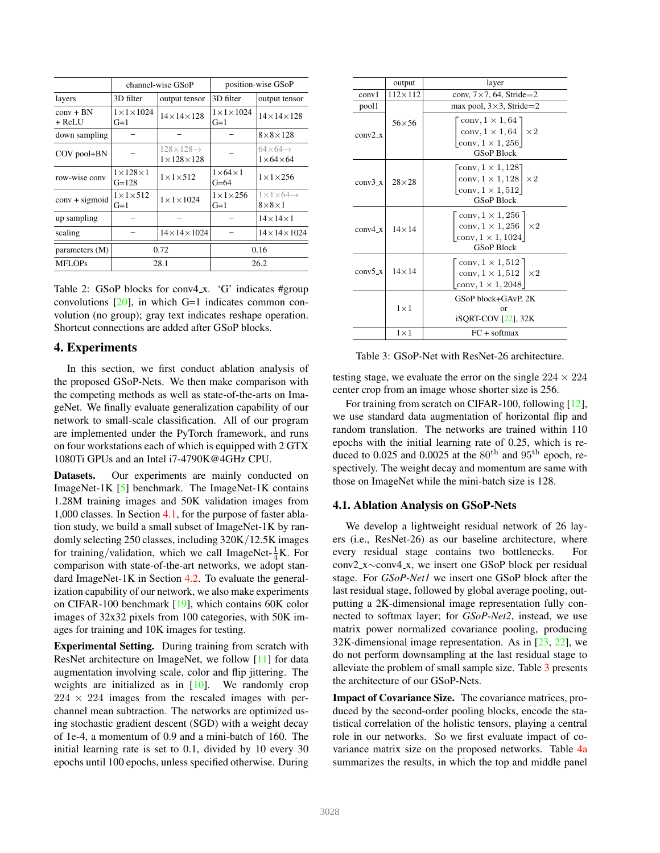|                       | channel-wise GSoP                    |                                                       | position-wise GSoP                |                                                         |  |
|-----------------------|--------------------------------------|-------------------------------------------------------|-----------------------------------|---------------------------------------------------------|--|
| layers                | 3D filter                            | output tensor                                         | 3D filter                         | output tensor                                           |  |
| $conv + BN$<br>+ ReLU | $1 \times 1 \times 1024$<br>$G=1$    | $14 \times 14 \times 128$                             | $1 \times 1 \times 1024$<br>$G=1$ | $14 \times 14 \times 128$                               |  |
| down sampling         |                                      |                                                       |                                   | $8\times8\times128$                                     |  |
| COV pool+BN           |                                      | $128 \times 128 \rightarrow$<br>$1\times128\times128$ |                                   | $64\times 64 \rightarrow$<br>$1\times 64\times 64$      |  |
| row-wise conv         | $1 \times 128 \times 1$<br>$G = 128$ | $1\times1\times512$                                   | $1\times 64\times 1$<br>$G=64$    | $1 \times 1 \times 256$                                 |  |
| $conv + sigmoid$      | $1 \times 1 \times 512$<br>$G=1$     | $1 \times 1 \times 1024$                              | $1 \times 1 \times 256$<br>$G=1$  | $1 \times 1 \times 64 \rightarrow$<br>$8\times8\times1$ |  |
| up sampling           |                                      |                                                       |                                   | $14\times14\times1$                                     |  |
| scaling               |                                      | $14\times14\times1024$                                |                                   | $14\times14\times1024$                                  |  |
| parameters (M)        | 0.72                                 |                                                       | 0.16                              |                                                         |  |
| <b>MFLOPs</b>         | 28.1                                 |                                                       | 26.2                              |                                                         |  |

Table 2: GSoP blocks for conv4\_x. 'G' indicates #group convolutions  $[20]$ , in which G=1 indicates common convolution (no group); gray text indicates reshape operation. Shortcut connections are added after GSoP blocks.

### 4. Experiments

In this section, we first conduct ablation analysis of the proposed GSoP-Nets. We then make comparison with the competing methods as well as state-of-the-arts on ImageNet. We finally evaluate generalization capability of our network to small-scale classification. All of our program are implemented under the PyTorch framework, and runs on four workstations each of which is equipped with 2 GTX 1080Ti GPUs and an Intel i7-4790K@4GHz CPU.

Datasets. Our experiments are mainly conducted on ImageNet-1K [5] benchmark. The ImageNet-1K contains 1.28M training images and 50K validation images from 1,000 classes. In Section 4.1, for the purpose of faster ablation study, we build a small subset of ImageNet-1K by randomly selecting 250 classes, including 320K/12.5K images for training/validation, which we call ImageNet- $\frac{1}{4}$ K. For comparison with state-of-the-art networks, we adopt standard ImageNet-1K in Section 4.2. To evaluate the generalization capability of our network, we also make experiments on CIFAR-100 benchmark [19], which contains 60K color images of 32x32 pixels from 100 categories, with 50K images for training and 10K images for testing.

Experimental Setting. During training from scratch with ResNet architecture on ImageNet, we follow [11] for data augmentation involving scale, color and flip jittering. The weights are initialized as in [10]. We randomly crop  $224 \times 224$  images from the rescaled images with perchannel mean subtraction. The networks are optimized using stochastic gradient descent (SGD) with a weight decay of 1e-4, a momentum of 0.9 and a mini-batch of 160. The initial learning rate is set to 0.1, divided by 10 every 30 epochs until 100 epochs, unless specified otherwise. During

|           | output           | layer                                                                                                                                 |  |  |
|-----------|------------------|---------------------------------------------------------------------------------------------------------------------------------------|--|--|
| conv1     | $112 \times 112$ | conv, $7 \times 7$ , 64, Stride=2                                                                                                     |  |  |
| pool1     |                  | max pool, $3 \times 3$ , Stride=2                                                                                                     |  |  |
| $conv2_x$ | $56 \times 56$   | conv, $1 \times 1, 64$ ]<br>conv, $1 \times 1, 64$   $\times 2$<br>conv, $1 \times 1$ , 256<br><b>GSoP Block</b>                      |  |  |
| $conv3_x$ | $28\times28$     | $\lceil \text{conv}, 1 \times 1, 128 \rceil$<br>conv, $1 \times 1$ , 128<br>$\times 2$<br>conv, $1 \times 1,512$<br><b>GSoP Block</b> |  |  |
| conv4 x   | $14 \times 14$   | conv, $1 \times 1$ , 256<br>conv, $1 \times 1$ , 256<br>$\times 2$<br>conv, $1 \times 1$ , 1024<br><b>GSoP Block</b>                  |  |  |
| $conv5_x$ | $14 \times 14$   | conv, $1 \times 1,512$<br>conv, $1 \times 1,512$<br>$\times 2$<br>conv, $1 \times 1$ , 2048                                           |  |  |
|           | $1\times1$       | GSoP block+GAvP, 2K<br><sub>or</sub><br>iSQRT-COV [22], 32K                                                                           |  |  |
|           | $1\times1$       | $FC + softmax$                                                                                                                        |  |  |

Table 3: GSoP-Net with ResNet-26 architecture.

testing stage, we evaluate the error on the single  $224 \times 224$ center crop from an image whose shorter size is 256.

For training from scratch on CIFAR-100, following [12], we use standard data augmentation of horizontal flip and random translation. The networks are trained within 110 epochs with the initial learning rate of 0.25, which is reduced to 0.025 and 0.0025 at the  $80<sup>th</sup>$  and  $95<sup>th</sup>$  epoch, respectively. The weight decay and momentum are same with those on ImageNet while the mini-batch size is 128.

### 4.1. Ablation Analysis on GSoP-Nets

We develop a lightweight residual network of 26 layers (i.e., ResNet-26) as our baseline architecture, where every residual stage contains two bottlenecks. For conv2 x∼conv4 x, we insert one GSoP block per residual stage. For *GSoP-Net1* we insert one GSoP block after the last residual stage, followed by global average pooling, outputting a 2K-dimensional image representation fully connected to softmax layer; for *GSoP-Net2*, instead, we use matrix power normalized covariance pooling, producing 32K-dimensional image representation. As in [23, 22], we do not perform downsampling at the last residual stage to alleviate the problem of small sample size. Table 3 presents the architecture of our GSoP-Nets.

Impact of Covariance Size. The covariance matrices, produced by the second-order pooling blocks, encode the statistical correlation of the holistic tensors, playing a central role in our networks. So we first evaluate impact of covariance matrix size on the proposed networks. Table 4a summarizes the results, in which the top and middle panel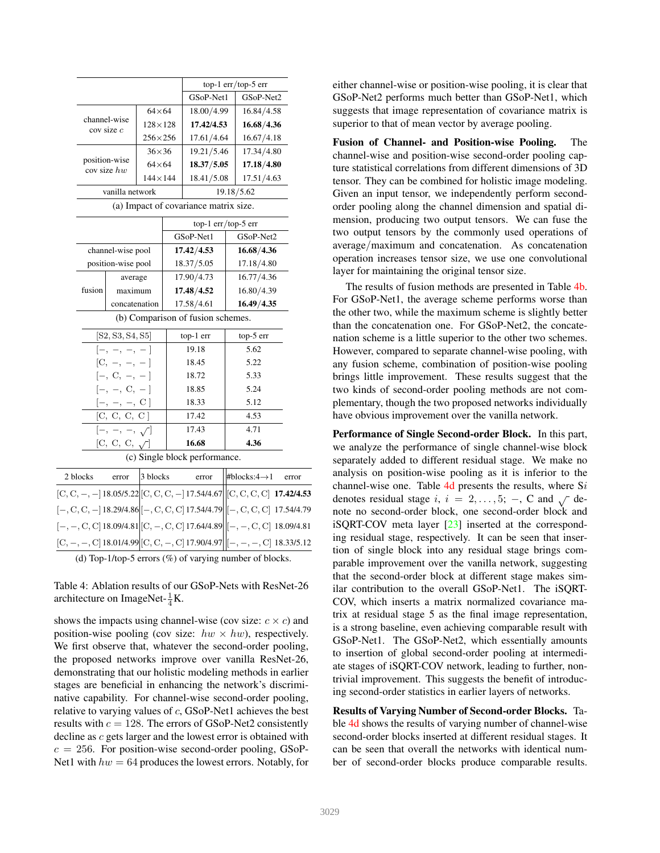|                  |                              |                  |                  |                                       | top-1 err/top-5 err        |
|------------------|------------------------------|------------------|------------------|---------------------------------------|----------------------------|
|                  |                              |                  |                  | GSoP-Net1                             | GSoP-Net2                  |
|                  |                              | $64\times 64$    |                  | 18.00/4.99                            | 16.84/4.58                 |
|                  | channel-wise<br>cov size c   |                  | $128 \times 128$ | 17.42/4.53                            | 16.68/4.36                 |
|                  |                              | $256\times256$   |                  | 17.61/4.64                            | 16.67/4.18                 |
|                  |                              | $36\times36$     |                  | 19.21/5.46                            | 17.34/4.80                 |
|                  | position-wise<br>cov size hw | $64\times64$     |                  | 18.37/5.05                            | 17.18/4.80                 |
|                  |                              | $144 \times 144$ |                  | 18.41/5.08                            | 17.51/4.63                 |
|                  | vanilla network              |                  |                  |                                       | 19.18/5.62                 |
|                  |                              |                  |                  | (a) Impact of covariance matrix size. |                            |
|                  |                              |                  |                  |                                       | top-1 $err/top-5$ err      |
|                  |                              |                  |                  | GSoP-Net1                             | GSoP-Net2                  |
|                  | channel-wise pool            |                  | 17.42/4.53       |                                       | 16.68/4.36                 |
|                  | position-wise pool           |                  | 18.37/5.05       |                                       | 17.18/4.80                 |
|                  | average                      |                  | 17.90/4.73       |                                       | 16.77/4.36                 |
| fusion           | maximum                      |                  | 17.48/4.52       |                                       | 16.80/4.39                 |
|                  | concatenation                |                  |                  | 17.58/4.61                            | 16.49/4.35                 |
|                  |                              |                  |                  | (b) Comparison of fusion schemes.     |                            |
| [S2, S3, S4, S5] |                              |                  | top-1 err        | top-5 err                             |                            |
|                  | $[-, -, -, -]$               |                  |                  | 19.18                                 | 5.62                       |
|                  | $[C, -, -, -]$               |                  |                  | 18.45                                 | 5.22                       |
|                  | $[-, C, -, -]$               |                  |                  | 18.72                                 | 5.33                       |
|                  | $[-, -, C, -]$               |                  |                  | 18.85                                 | 5.24                       |
|                  | $[-, -, -, C]$               |                  |                  | 18.33                                 | 5.12                       |
|                  | [C, C, C, C]                 |                  |                  | 17.42                                 | 4.53                       |
|                  | $[-, -, -, \sqrt]$           |                  |                  | 17.43                                 | 4.71                       |
|                  | [C, C, C, $\sqrt{}$ ]        |                  |                  | 16.68                                 | 4.36                       |
|                  |                              |                  |                  | (c) Single block performance.         |                            |
| 2 blocks         | error                        | 3 blocks         |                  | error                                 | #blocks: $4 \rightarrow 1$ |
|                  |                              |                  |                  |                                       |                            |

| $[C, C, -, -]$ 18.05/5.22 $\Big  [C, C, C, -]$ 17.54/4.67 $\Big  \Big  [C, C, C, C]$ 17.42/4.53        |  |  |  |
|--------------------------------------------------------------------------------------------------------|--|--|--|
| $[-, C, C, -] 18.29/4.86 \Big  [-, C, C, C] 17.54/4.79 \Big  [-, C, C, C] 17.54/4.79$                  |  |  |  |
| $[-,-, \text{C}, \text{C}]$ 18.09/4.81 $\vert$ [C, -, C, C] 17.64/4.89 $\vert$ [-, -, C, C] 18.09/4.81 |  |  |  |
| $[C, -, -, C]$ 18.01/4.99 $[C, C, -, C]$ 17.90/4.97 $  [-, -, -, C]$ 18.33/5.12                        |  |  |  |
|                                                                                                        |  |  |  |

(d) Top-1/top-5 errors  $(\%)$  of varying number of blocks.

Table 4: Ablation results of our GSoP-Nets with ResNet-26 architecture on ImageNet- $\frac{1}{4}$ K.

shows the impacts using channel-wise (cov size:  $c \times c$ ) and position-wise pooling (cov size:  $hw \times hw$ ), respectively. We first observe that, whatever the second-order pooling, the proposed networks improve over vanilla ResNet-26, demonstrating that our holistic modeling methods in earlier stages are beneficial in enhancing the network's discriminative capability. For channel-wise second-order pooling, relative to varying values of c, GSoP-Net1 achieves the best results with  $c = 128$ . The errors of GSoP-Net2 consistently decline as c gets larger and the lowest error is obtained with  $c = 256$ . For position-wise second-order pooling, GSoP-Net1 with  $hw = 64$  produces the lowest errors. Notably, for either channel-wise or position-wise pooling, it is clear that GSoP-Net2 performs much better than GSoP-Net1, which suggests that image representation of covariance matrix is superior to that of mean vector by average pooling.

Fusion of Channel- and Position-wise Pooling. The channel-wise and position-wise second-order pooling capture statistical correlations from different dimensions of 3D tensor. They can be combined for holistic image modeling. Given an input tensor, we independently perform secondorder pooling along the channel dimension and spatial dimension, producing two output tensors. We can fuse the two output tensors by the commonly used operations of average/maximum and concatenation. As concatenation operation increases tensor size, we use one convolutional layer for maintaining the original tensor size.

The results of fusion methods are presented in Table 4b. For GSoP-Net1, the average scheme performs worse than the other two, while the maximum scheme is slightly better than the concatenation one. For GSoP-Net2, the concatenation scheme is a little superior to the other two schemes. However, compared to separate channel-wise pooling, with any fusion scheme, combination of position-wise pooling brings little improvement. These results suggest that the two kinds of second-order pooling methods are not complementary, though the two proposed networks individually have obvious improvement over the vanilla network.

Performance of Single Second-order Block. In this part, we analyze the performance of single channel-wise block separately added to different residual stage. We make no analysis on position-wise pooling as it is inferior to the channel-wise one. Table  $4d$  presents the results, where Si denotes residual stage i,  $i = 2, \ldots, 5; -$ , C and  $\sqrt{\ }$  denote no second-order block, one second-order block and iSQRT-COV meta layer [23] inserted at the corresponding residual stage, respectively. It can be seen that insertion of single block into any residual stage brings comparable improvement over the vanilla network, suggesting that the second-order block at different stage makes similar contribution to the overall GSoP-Net1. The iSQRT-COV, which inserts a matrix normalized covariance matrix at residual stage 5 as the final image representation, is a strong baseline, even achieving comparable result with GSoP-Net1. The GSoP-Net2, which essentially amounts to insertion of global second-order pooling at intermediate stages of iSQRT-COV network, leading to further, nontrivial improvement. This suggests the benefit of introducing second-order statistics in earlier layers of networks.

Results of Varying Number of Second-order Blocks. Table 4d shows the results of varying number of channel-wise second-order blocks inserted at different residual stages. It can be seen that overall the networks with identical number of second-order blocks produce comparable results.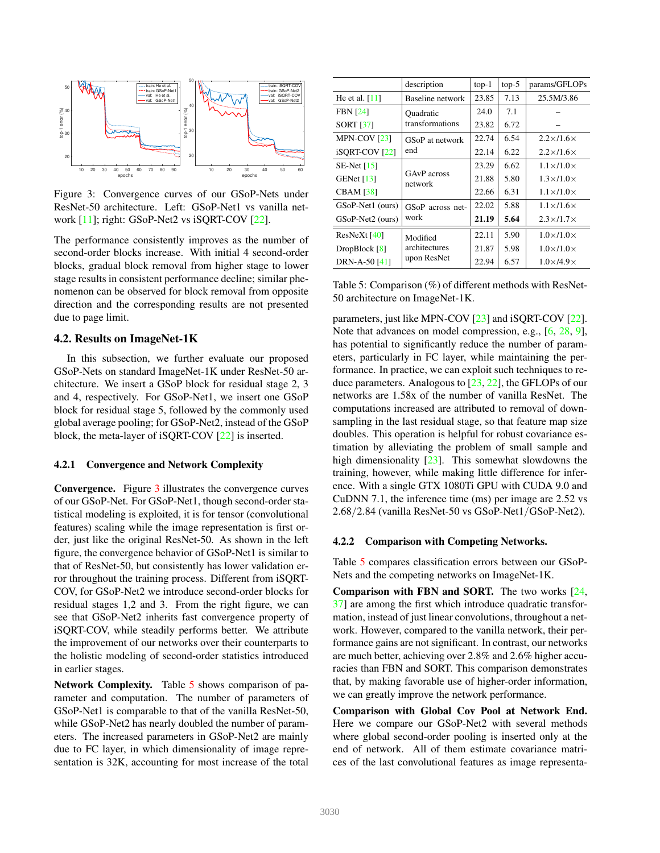

Figure 3: Convergence curves of our GSoP-Nets under ResNet-50 architecture. Left: GSoP-Net1 vs vanilla network [11]; right: GSoP-Net2 vs iSQRT-COV [22].

The performance consistently improves as the number of second-order blocks increase. With initial 4 second-order blocks, gradual block removal from higher stage to lower stage results in consistent performance decline; similar phenomenon can be observed for block removal from opposite direction and the corresponding results are not presented due to page limit.

### 4.2. Results on ImageNet-1K

In this subsection, we further evaluate our proposed GSoP-Nets on standard ImageNet-1K under ResNet-50 architecture. We insert a GSoP block for residual stage 2, 3 and 4, respectively. For GSoP-Net1, we insert one GSoP block for residual stage 5, followed by the commonly used global average pooling; for GSoP-Net2, instead of the GSoP block, the meta-layer of iSQRT-COV [22] is inserted.

### 4.2.1 Convergence and Network Complexity

Convergence. Figure 3 illustrates the convergence curves of our GSoP-Net. For GSoP-Net1, though second-order statistical modeling is exploited, it is for tensor (convolutional features) scaling while the image representation is first order, just like the original ResNet-50. As shown in the left figure, the convergence behavior of GSoP-Net1 is similar to that of ResNet-50, but consistently has lower validation error throughout the training process. Different from iSQRT-COV, for GSoP-Net2 we introduce second-order blocks for residual stages 1,2 and 3. From the right figure, we can see that GSoP-Net2 inherits fast convergence property of iSQRT-COV, while steadily performs better. We attribute the improvement of our networks over their counterparts to the holistic modeling of second-order statistics introduced in earlier stages.

Network Complexity. Table 5 shows comparison of parameter and computation. The number of parameters of GSoP-Net1 is comparable to that of the vanilla ResNet-50, while GSoP-Net2 has nearly doubled the number of parameters. The increased parameters in GSoP-Net2 are mainly due to FC layer, in which dimensionality of image representation is 32K, accounting for most increase of the total

|                           | description            | $top-1$ | $top-5$ | params/GFLOPs             |
|---------------------------|------------------------|---------|---------|---------------------------|
| He et al. $[11]$          | Baseline network       | 23.85   | 7.13    | 25.5M/3.86                |
| <b>FBN</b> [24]           | Ouadratic              | 24.0    | 7.1     |                           |
| <b>SORT [37]</b>          | transformations        | 23.82   | 6.72    |                           |
| MPN-COV [23]              | GSoP at network        | 22.74   | 6.54    | $2.2 \times 1.6 \times$   |
| iSORT-COV <sub>[22]</sub> | end                    | 22.14   | 6.22    | $2.2 \times 1.6 \times$   |
| $SE-Net [15]$             |                        | 23.29   | 6.62    | $1.1 \times 11.0 \times$  |
| GENet $[13]$              | GAvP across<br>network | 21.88   | 5.80    | $1.3\times11.0\times$     |
| <b>CBAM</b> [38]          |                        | 22.66   | 6.31    | $1.1 \times 1.0 \times$   |
| GSoP-Net1 (ours)          | GSoP across net-       | 22.02   | 5.88    | $1.1 \times 11.6 \times$  |
| GSoP-Net2 (ours)          | work                   | 21.19   | 5.64    | $2.3\times11.7\times$     |
| $ResNeXt$ [40]            | Modified               | 22.11   | 5.90    | $1.0\times11.0\times$     |
| DropBlock [8]             | architectures          | 21.87   | 5.98    | $1.0\times11.0\times$     |
| DRN-A-50 [41]             | upon ResNet            | 22.94   | 6.57    | $1.0\times$ /4.9 $\times$ |

Table 5: Comparison (%) of different methods with ResNet-50 architecture on ImageNet-1K.

parameters, just like MPN-COV [23] and iSQRT-COV [22]. Note that advances on model compression, e.g., [6, 28, 9], has potential to significantly reduce the number of parameters, particularly in FC layer, while maintaining the performance. In practice, we can exploit such techniques to reduce parameters. Analogous to [23, 22], the GFLOPs of our networks are 1.58x of the number of vanilla ResNet. The computations increased are attributed to removal of downsampling in the last residual stage, so that feature map size doubles. This operation is helpful for robust covariance estimation by alleviating the problem of small sample and high dimensionality [23]. This somewhat slowdowns the training, however, while making little difference for inference. With a single GTX 1080Ti GPU with CUDA 9.0 and CuDNN 7.1, the inference time (ms) per image are 2.52 vs 2.68/2.84 (vanilla ResNet-50 vs GSoP-Net1/GSoP-Net2).

#### 4.2.2 Comparison with Competing Networks.

Table 5 compares classification errors between our GSoP-Nets and the competing networks on ImageNet-1K.

Comparison with FBN and SORT. The two works [24, 37] are among the first which introduce quadratic transformation, instead of just linear convolutions, throughout a network. However, compared to the vanilla network, their performance gains are not significant. In contrast, our networks are much better, achieving over 2.8% and 2.6% higher accuracies than FBN and SORT. This comparison demonstrates that, by making favorable use of higher-order information, we can greatly improve the network performance.

Comparison with Global Cov Pool at Network End. Here we compare our GSoP-Net2 with several methods where global second-order pooling is inserted only at the end of network. All of them estimate covariance matrices of the last convolutional features as image representa-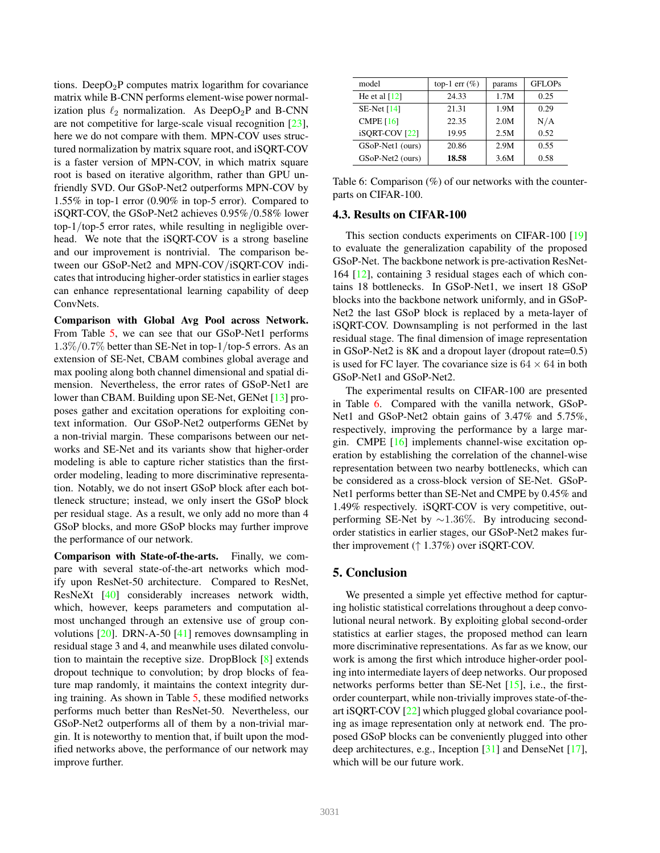tions. Deep $O_2P$  computes matrix logarithm for covariance matrix while B-CNN performs element-wise power normalization plus  $\ell_2$  normalization. As DeepO<sub>2</sub>P and B-CNN are not competitive for large-scale visual recognition [23], here we do not compare with them. MPN-COV uses structured normalization by matrix square root, and iSQRT-COV is a faster version of MPN-COV, in which matrix square root is based on iterative algorithm, rather than GPU unfriendly SVD. Our GSoP-Net2 outperforms MPN-COV by 1.55% in top-1 error (0.90% in top-5 error). Compared to iSQRT-COV, the GSoP-Net2 achieves 0.95%/0.58% lower top-1/top-5 error rates, while resulting in negligible overhead. We note that the iSQRT-COV is a strong baseline and our improvement is nontrivial. The comparison between our GSoP-Net2 and MPN-COV/iSQRT-COV indicates that introducing higher-order statistics in earlier stages can enhance representational learning capability of deep ConvNets.

Comparison with Global Avg Pool across Network. From Table 5, we can see that our GSoP-Net1 performs  $1.3\%/0.7\%$  better than SE-Net in top-1/top-5 errors. As an extension of SE-Net, CBAM combines global average and max pooling along both channel dimensional and spatial dimension. Nevertheless, the error rates of GSoP-Net1 are lower than CBAM. Building upon SE-Net, GENet [13] proposes gather and excitation operations for exploiting context information. Our GSoP-Net2 outperforms GENet by a non-trivial margin. These comparisons between our networks and SE-Net and its variants show that higher-order modeling is able to capture richer statistics than the firstorder modeling, leading to more discriminative representation. Notably, we do not insert GSoP block after each bottleneck structure; instead, we only insert the GSoP block per residual stage. As a result, we only add no more than 4 GSoP blocks, and more GSoP blocks may further improve the performance of our network.

Comparison with State-of-the-arts. Finally, we compare with several state-of-the-art networks which modify upon ResNet-50 architecture. Compared to ResNet, ResNeXt [40] considerably increases network width, which, however, keeps parameters and computation almost unchanged through an extensive use of group convolutions [20]. DRN-A-50 [41] removes downsampling in residual stage 3 and 4, and meanwhile uses dilated convolution to maintain the receptive size. DropBlock [8] extends dropout technique to convolution; by drop blocks of feature map randomly, it maintains the context integrity during training. As shown in Table 5, these modified networks performs much better than ResNet-50. Nevertheless, our GSoP-Net2 outperforms all of them by a non-trivial margin. It is noteworthy to mention that, if built upon the modified networks above, the performance of our network may improve further.

| model                     | top-1 err $(\%)$ | params | <b>GFLOPs</b> |
|---------------------------|------------------|--------|---------------|
| He et al $[12]$           | 24.33            | 1.7M   | 0.25          |
| SE-Net $[14]$             | 21.31            | 1.9M   | 0.29          |
| CMPE $[16]$               | 22.35            | 2.0M   | N/A           |
| iSORT-COV <sub>[22]</sub> | 19.95            | 2.5M   | 0.52          |
| GSoP-Net1 (ours)          | 20.86            | 2.9M   | 0.55          |
| GSoP-Net2 (ours)          | 18.58            | 3.6M   | 0.58          |

Table 6: Comparison (%) of our networks with the counterparts on CIFAR-100.

### 4.3. Results on CIFAR-100

This section conducts experiments on CIFAR-100 [19] to evaluate the generalization capability of the proposed GSoP-Net. The backbone network is pre-activation ResNet-164 [12], containing 3 residual stages each of which contains 18 bottlenecks. In GSoP-Net1, we insert 18 GSoP blocks into the backbone network uniformly, and in GSoP-Net2 the last GSoP block is replaced by a meta-layer of iSQRT-COV. Downsampling is not performed in the last residual stage. The final dimension of image representation in GSoP-Net2 is 8K and a dropout layer (dropout rate=0.5) is used for FC layer. The covariance size is  $64 \times 64$  in both GSoP-Net1 and GSoP-Net2.

The experimental results on CIFAR-100 are presented in Table 6. Compared with the vanilla network, GSoP-Net1 and GSoP-Net2 obtain gains of 3.47% and 5.75%, respectively, improving the performance by a large margin. CMPE [16] implements channel-wise excitation operation by establishing the correlation of the channel-wise representation between two nearby bottlenecks, which can be considered as a cross-block version of SE-Net. GSoP-Net1 performs better than SE-Net and CMPE by 0.45% and 1.49% respectively. iSQRT-COV is very competitive, outperforming SE-Net by ~1.36%. By introducing secondorder statistics in earlier stages, our GSoP-Net2 makes further improvement (↑ 1.37%) over iSQRT-COV.

### 5. Conclusion

We presented a simple yet effective method for capturing holistic statistical correlations throughout a deep convolutional neural network. By exploiting global second-order statistics at earlier stages, the proposed method can learn more discriminative representations. As far as we know, our work is among the first which introduce higher-order pooling into intermediate layers of deep networks. Our proposed networks performs better than SE-Net [15], i.e., the firstorder counterpart, while non-trivially improves state-of-theart iSQRT-COV [22] which plugged global covariance pooling as image representation only at network end. The proposed GSoP blocks can be conveniently plugged into other deep architectures, e.g., Inception [31] and DenseNet [17], which will be our future work.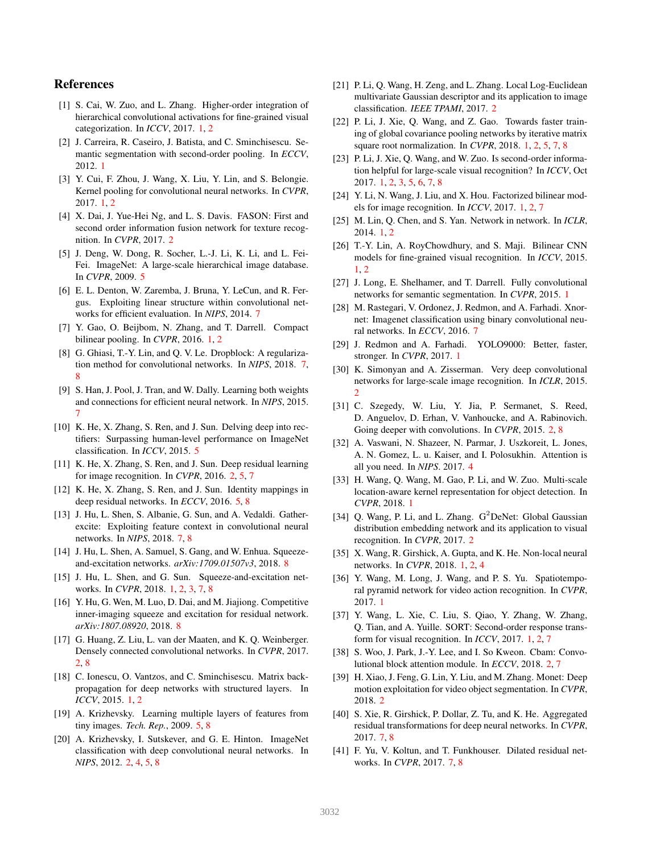### References

- [1] S. Cai, W. Zuo, and L. Zhang. Higher-order integration of hierarchical convolutional activations for fine-grained visual categorization. In *ICCV*, 2017. 1, 2
- [2] J. Carreira, R. Caseiro, J. Batista, and C. Sminchisescu. Semantic segmentation with second-order pooling. In *ECCV*, 2012. 1
- [3] Y. Cui, F. Zhou, J. Wang, X. Liu, Y. Lin, and S. Belongie. Kernel pooling for convolutional neural networks. In *CVPR*, 2017. 1, 2
- [4] X. Dai, J. Yue-Hei Ng, and L. S. Davis. FASON: First and second order information fusion network for texture recognition. In *CVPR*, 2017. 2
- [5] J. Deng, W. Dong, R. Socher, L.-J. Li, K. Li, and L. Fei-Fei. ImageNet: A large-scale hierarchical image database. In *CVPR*, 2009. 5
- [6] E. L. Denton, W. Zaremba, J. Bruna, Y. LeCun, and R. Fergus. Exploiting linear structure within convolutional networks for efficient evaluation. In *NIPS*, 2014. 7
- [7] Y. Gao, O. Beijbom, N. Zhang, and T. Darrell. Compact bilinear pooling. In *CVPR*, 2016. 1, 2
- [8] G. Ghiasi, T.-Y. Lin, and Q. V. Le. Dropblock: A regularization method for convolutional networks. In *NIPS*, 2018. 7, 8
- [9] S. Han, J. Pool, J. Tran, and W. Dally. Learning both weights and connections for efficient neural network. In *NIPS*, 2015. 7
- [10] K. He, X. Zhang, S. Ren, and J. Sun. Delving deep into rectifiers: Surpassing human-level performance on ImageNet classification. In *ICCV*, 2015. 5
- [11] K. He, X. Zhang, S. Ren, and J. Sun. Deep residual learning for image recognition. In *CVPR*, 2016. 2, 5, 7
- [12] K. He, X. Zhang, S. Ren, and J. Sun. Identity mappings in deep residual networks. In *ECCV*, 2016. 5, 8
- [13] J. Hu, L. Shen, S. Albanie, G. Sun, and A. Vedaldi. Gatherexcite: Exploiting feature context in convolutional neural networks. In *NIPS*, 2018. 7, 8
- [14] J. Hu, L. Shen, A. Samuel, S. Gang, and W. Enhua. Squeezeand-excitation networks. *arXiv:1709.01507v3*, 2018. 8
- [15] J. Hu, L. Shen, and G. Sun. Squeeze-and-excitation networks. In *CVPR*, 2018. 1, 2, 3, 7, 8
- [16] Y. Hu, G. Wen, M. Luo, D. Dai, and M. Jiajiong. Competitive inner-imaging squeeze and excitation for residual network. *arXiv:1807.08920*, 2018. 8
- [17] G. Huang, Z. Liu, L. van der Maaten, and K. Q. Weinberger. Densely connected convolutional networks. In *CVPR*, 2017. 2, 8
- [18] C. Ionescu, O. Vantzos, and C. Sminchisescu. Matrix backpropagation for deep networks with structured layers. In *ICCV*, 2015. 1, 2
- [19] A. Krizhevsky. Learning multiple layers of features from tiny images. *Tech. Rep.*, 2009. 5, 8
- [20] A. Krizhevsky, I. Sutskever, and G. E. Hinton. ImageNet classification with deep convolutional neural networks. In *NIPS*, 2012. 2, 4, 5, 8
- [21] P. Li, Q. Wang, H. Zeng, and L. Zhang. Local Log-Euclidean multivariate Gaussian descriptor and its application to image classification. *IEEE TPAMI*, 2017. 2
- [22] P. Li, J. Xie, Q. Wang, and Z. Gao. Towards faster training of global covariance pooling networks by iterative matrix square root normalization. In *CVPR*, 2018. 1, 2, 5, 7, 8
- [23] P. Li, J. Xie, Q. Wang, and W. Zuo. Is second-order information helpful for large-scale visual recognition? In *ICCV*, Oct 2017. 1, 2, 3, 5, 6, 7, 8
- [24] Y. Li, N. Wang, J. Liu, and X. Hou. Factorized bilinear models for image recognition. In *ICCV*, 2017. 1, 2, 7
- [25] M. Lin, Q. Chen, and S. Yan. Network in network. In *ICLR*, 2014. 1, 2
- [26] T.-Y. Lin, A. RoyChowdhury, and S. Maji. Bilinear CNN models for fine-grained visual recognition. In *ICCV*, 2015. 1, 2
- [27] J. Long, E. Shelhamer, and T. Darrell. Fully convolutional networks for semantic segmentation. In *CVPR*, 2015. 1
- [28] M. Rastegari, V. Ordonez, J. Redmon, and A. Farhadi. Xnornet: Imagenet classification using binary convolutional neural networks. In *ECCV*, 2016. 7
- [29] J. Redmon and A. Farhadi. YOLO9000: Better, faster, stronger. In *CVPR*, 2017. 1
- [30] K. Simonyan and A. Zisserman. Very deep convolutional networks for large-scale image recognition. In *ICLR*, 2015. 2
- [31] C. Szegedy, W. Liu, Y. Jia, P. Sermanet, S. Reed, D. Anguelov, D. Erhan, V. Vanhoucke, and A. Rabinovich. Going deeper with convolutions. In *CVPR*, 2015. 2, 8
- [32] A. Vaswani, N. Shazeer, N. Parmar, J. Uszkoreit, L. Jones, A. N. Gomez, L. u. Kaiser, and I. Polosukhin. Attention is all you need. In *NIPS*. 2017. 4
- [33] H. Wang, Q. Wang, M. Gao, P. Li, and W. Zuo. Multi-scale location-aware kernel representation for object detection. In *CVPR*, 2018. 1
- [34] Q. Wang, P. Li, and L. Zhang.  $G^2$ DeNet: Global Gaussian distribution embedding network and its application to visual recognition. In *CVPR*, 2017. 2
- [35] X. Wang, R. Girshick, A. Gupta, and K. He. Non-local neural networks. In *CVPR*, 2018. 1, 2, 4
- [36] Y. Wang, M. Long, J. Wang, and P. S. Yu. Spatiotemporal pyramid network for video action recognition. In *CVPR*, 2017. 1
- [37] Y. Wang, L. Xie, C. Liu, S. Qiao, Y. Zhang, W. Zhang, Q. Tian, and A. Yuille. SORT: Second-order response transform for visual recognition. In *ICCV*, 2017. 1, 2, 7
- [38] S. Woo, J. Park, J.-Y. Lee, and I. So Kweon. Cbam: Convolutional block attention module. In *ECCV*, 2018. 2, 7
- [39] H. Xiao, J. Feng, G. Lin, Y. Liu, and M. Zhang. Monet: Deep motion exploitation for video object segmentation. In *CVPR*, 2018. 2
- [40] S. Xie, R. Girshick, P. Dollar, Z. Tu, and K. He. Aggregated residual transformations for deep neural networks. In *CVPR*, 2017. 7, 8
- [41] F. Yu, V. Koltun, and T. Funkhouser. Dilated residual networks. In *CVPR*, 2017. 7, 8